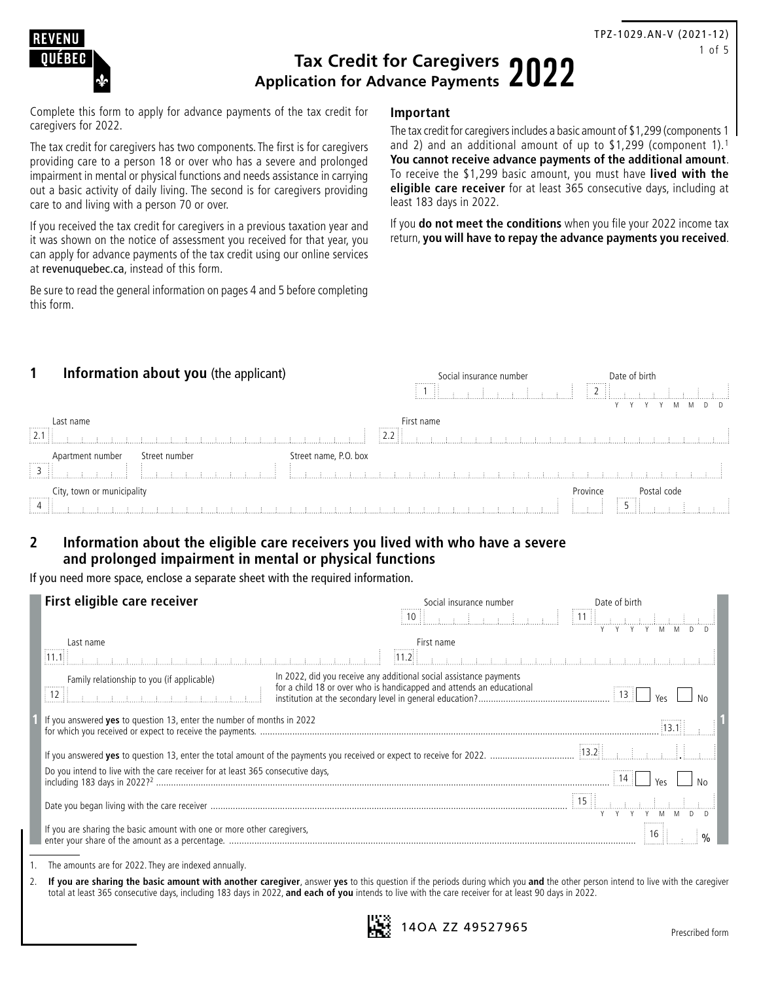

# **Tax Credit for Caregivers Application for Advance Payments** 2022

Complete this form to apply for advance payments of the tax credit for caregivers for 2022.

The tax credit for caregivers has two components. The first is for caregivers providing care to a person 18 or over who has a severe and prolonged impairment in mental or physical functions and needs assistance in carrying out a basic activity of daily living. The second is for caregivers providing care to and living with a person 70 or over.

If you received the tax credit for caregivers in a previous taxation year and it was shown on the notice of assessment you received for that year, you can apply for advance payments of the tax credit using our online services at [revenuquebec.ca](https://www.revenuquebec.ca/en/), instead of this form.

Be sure to read the general information on pages 4 and 5 before completing this form.

## **Important**

The tax credit for caregivers includes a basic amount of \$1,299 (components 1 and 2) and an additional amount of up to \$[1](#page-0-1),299 (component 1).<sup>1</sup> **You cannot receive advance payments of the additional amount**. To receive the \$1,299 basic amount, you must have **lived with the eligible care receiver** for at least 365 consecutive days, including at least 183 days in 2022.

If you **do not meet the conditions** when you file your 2022 income tax return, **you will have to repay the advance payments you received**.

| Information about you (the applicant)                              | Social insurance number                       | Date of birth<br>                                    |
|--------------------------------------------------------------------|-----------------------------------------------|------------------------------------------------------|
|                                                                    | $\cdots$<br>- 11<br>$\sim$ $\sim$<br>$\cdots$ | $\cdots$<br>$\mathcal{D}$<br><b>START OF</b><br>- 11 |
|                                                                    |                                               | M<br>M                                               |
| Last name                                                          | First name                                    |                                                      |
| 1211                                                               | $\Box$ $\Box$ $\Box$                          |                                                      |
| Street name, P.O. box<br>Street number<br>rtment number<br>Apa<br> |                                               |                                                      |
| $\sim$                                                             |                                               |                                                      |
| City, town or municipality                                         |                                               | Province<br>Postal code                              |
| - 11                                                               |                                               | .<br>- 11<br>.                                       |

# **2 Information about the eligible care receivers you lived with who have a severe and prolonged impairment in mental or physical functions**

If you need more space, enclose a separate sheet with the required information.

| First eligible care receiver                                                    | Social insurance number                                            | Date of birth    |  |
|---------------------------------------------------------------------------------|--------------------------------------------------------------------|------------------|--|
| Last name                                                                       | First name                                                         |                  |  |
| $\overline{12}$                                                                 | In 2022, did you receive any additional social assistance payments |                  |  |
| If you answered <b>yes</b> to question 13, enter the number of months in 2022   |                                                                    |                  |  |
|                                                                                 |                                                                    |                  |  |
| Do you intend to live with the care receiver for at least 365 consecutive days, |                                                                    |                  |  |
|                                                                                 |                                                                    | $\vert 15 \vert$ |  |
| If you are sharing the basic amount with one or more other caregivers,          |                                                                    |                  |  |

<span id="page-0-1"></span>The amounts are for 2022. They are indexed annually.

<span id="page-0-0"></span>2. **If you are sharing the basic amount with another caregiver**, answer **yes** to this question if the periods during which you **and** the other person intend to live with the caregiver total at least 365 consecutive days, including 183 days in 2022, **and each of you** intends to live with the care receiver for at least 90 days in 2022.

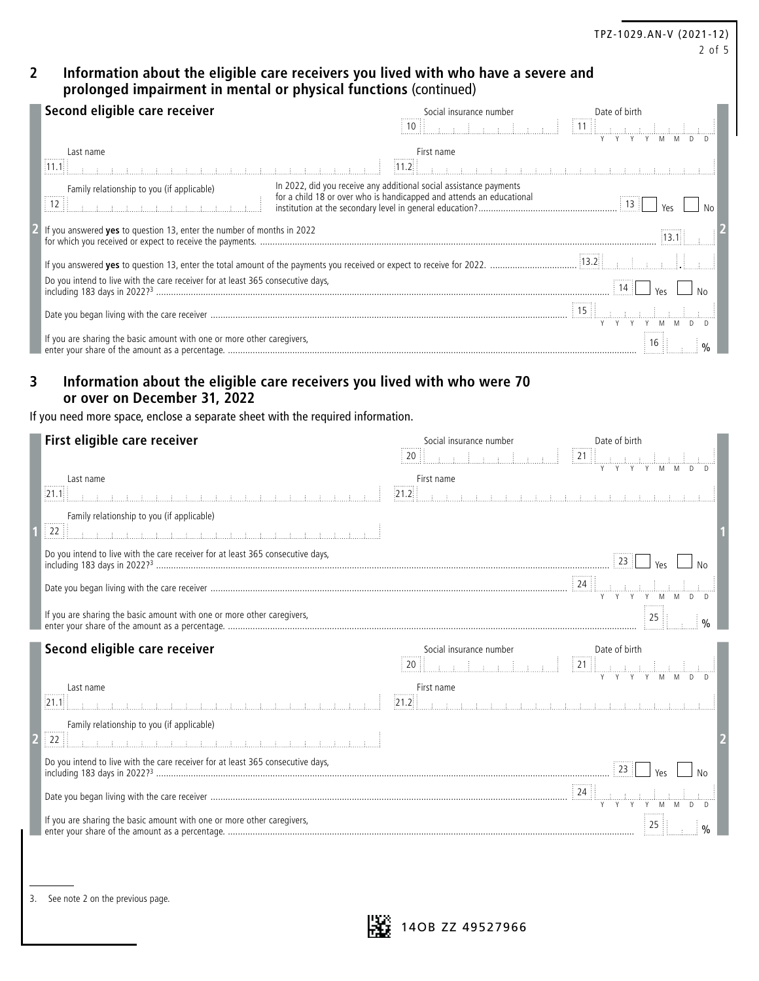| Information about the eligible care receivers you lived with who have a severe and |
|------------------------------------------------------------------------------------|
| prolonged impairment in mental or physical functions (continued)                   |

| Second eligible care receiver                                                                                                                                                                                                                                                                                                                           | Social insurance number                                            | Date of birth |  |
|---------------------------------------------------------------------------------------------------------------------------------------------------------------------------------------------------------------------------------------------------------------------------------------------------------------------------------------------------------|--------------------------------------------------------------------|---------------|--|
| Last name                                                                                                                                                                                                                                                                                                                                               | First name                                                         |               |  |
|                                                                                                                                                                                                                                                                                                                                                         |                                                                    |               |  |
| Family relationship to you (if applicable)<br>$\begin{bmatrix} 1 & 0 & 0 & 0 \\ 0 & 1 & 0 & 0 \\ 0 & 0 & 0 & 0 \\ 0 & 0 & 0 & 0 \\ 0 & 0 & 0 & 0 \\ 0 & 0 & 0 & 0 \\ 0 & 0 & 0 & 0 \\ 0 & 0 & 0 & 0 \\ 0 & 0 & 0 & 0 \\ 0 & 0 & 0 & 0 \\ 0 & 0 & 0 & 0 \\ 0 & 0 & 0 & 0 \\ 0 & 0 & 0 & 0 \\ 0 & 0 & 0 & 0 \\ 0 &$<br>$\begin{bmatrix} 12 \end{bmatrix}$ | In 2022, did you receive any additional social assistance payments |               |  |
| If you answered <b>yes</b> to question 13, enter the number of months in 2022                                                                                                                                                                                                                                                                           |                                                                    |               |  |
|                                                                                                                                                                                                                                                                                                                                                         |                                                                    |               |  |
| Do you intend to live with the care receiver for at least 365 consecutive days,                                                                                                                                                                                                                                                                         |                                                                    |               |  |
|                                                                                                                                                                                                                                                                                                                                                         |                                                                    |               |  |
| If you are sharing the basic amount with one or more other caregivers,                                                                                                                                                                                                                                                                                  |                                                                    |               |  |

TPZ-1029.AN-V (2021-12)

2 of 5

# **3 Information about the eligible care receivers you lived with who were 70 or over on December 31, 2022**

If you need more space, enclose a separate sheet with the required information.

| First eligible care receiver                                                    | Social insurance number                                                                                                                  | Date of birth                                                 |  |
|---------------------------------------------------------------------------------|------------------------------------------------------------------------------------------------------------------------------------------|---------------------------------------------------------------|--|
|                                                                                 | 20                                                                                                                                       | $\begin{bmatrix} 21 \end{bmatrix}$<br>Y Y M                   |  |
| Last name                                                                       | First name<br> 21.2                                                                                                                      |                                                               |  |
|                                                                                 |                                                                                                                                          |                                                               |  |
| Family relationship to you (if applicable)<br>22                                |                                                                                                                                          |                                                               |  |
|                                                                                 |                                                                                                                                          |                                                               |  |
| Do you intend to live with the care receiver for at least 365 consecutive days, |                                                                                                                                          | 23                                                            |  |
|                                                                                 |                                                                                                                                          |                                                               |  |
|                                                                                 |                                                                                                                                          |                                                               |  |
| If you are sharing the basic amount with one or more other caregivers,          |                                                                                                                                          | $\frac{0}{0}$                                                 |  |
|                                                                                 |                                                                                                                                          |                                                               |  |
| Second eligible care receiver                                                   | Social insurance number                                                                                                                  | Date of birth                                                 |  |
|                                                                                 |                                                                                                                                          | $\begin{array}{ c c c c c }\n\hline\n21 & 1 & 1\n\end{array}$ |  |
| Last name                                                                       | First name                                                                                                                               |                                                               |  |
|                                                                                 | $\overline{21.2}$<br>.<br>The experiment of the control of the control of the control of the control of the control of the control of th |                                                               |  |
| Family relationship to you (if applicable)                                      |                                                                                                                                          |                                                               |  |
| 22                                                                              |                                                                                                                                          |                                                               |  |
| Do you intend to live with the care receiver for at least 365 consecutive days, |                                                                                                                                          |                                                               |  |
|                                                                                 |                                                                                                                                          | Yρς                                                           |  |
|                                                                                 |                                                                                                                                          | Y Y Y<br>Y<br>M                                               |  |
| If you are sharing the basic amount with one or more other caregivers,          |                                                                                                                                          |                                                               |  |

<span id="page-1-0"></span>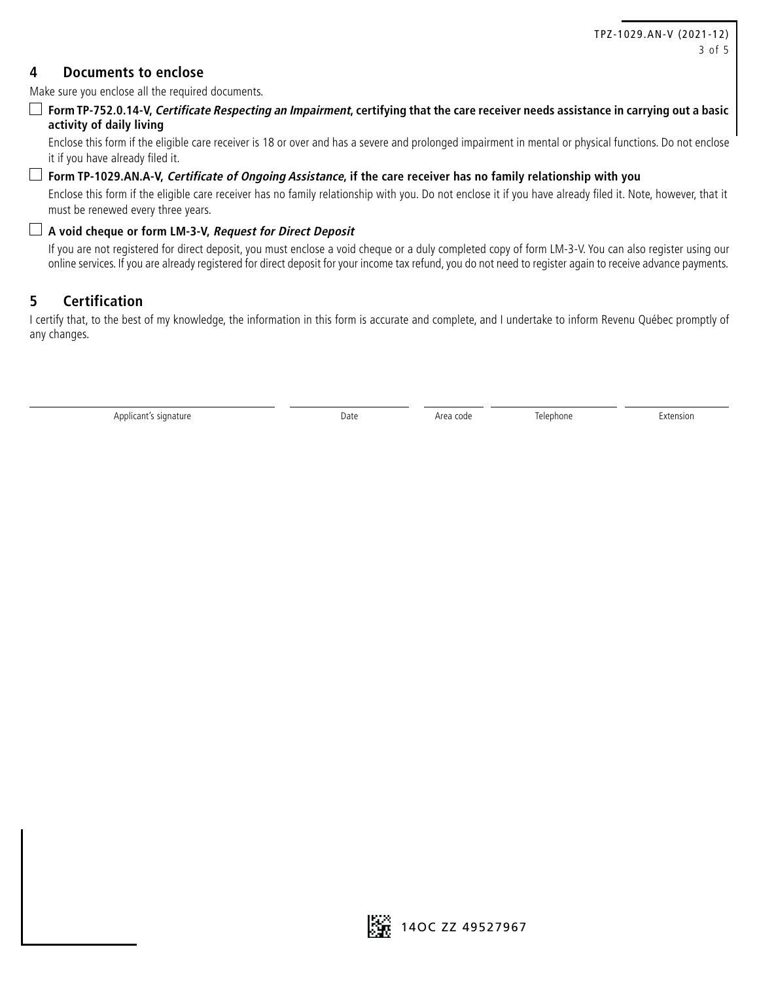# **4 Documents to enclose**

Make sure you enclose all the required documents.

## **Form TP-752.0.14-V, Certificate Respecting an Impairment, certifying that the care receiver needs assistance in carrying out a basic activity of daily living**

Enclose this form if the eligible care receiver is 18 or over and has a severe and prolonged impairment in mental or physical functions. Do not enclose it if you have already filed it.

#### **Form TP-1029.AN.A-V, Certificate of Ongoing Assistance, if the care receiver has no family relationship with you**

Enclose this form if the eligible care receiver has no family relationship with you. Do not enclose it if you have already filed it. Note, however, that it must be renewed every three years.

## **A void cheque or form LM-3-V, Request for Direct Deposit**

If you are not registered for direct deposit, you must enclose a void cheque or a duly completed copy of form LM-3-V. You can also register using our online services. If you are already registered for direct deposit for your income tax refund, you do not need to register again to receive advance payments.

# **5 Certification**

I certify that, to the best of my knowledge, the information in this form is accurate and complete, and I undertake to inform Revenu Québec promptly of any changes.

Applicant's signature and the Community of the Date Area code Telephone Telephone Extension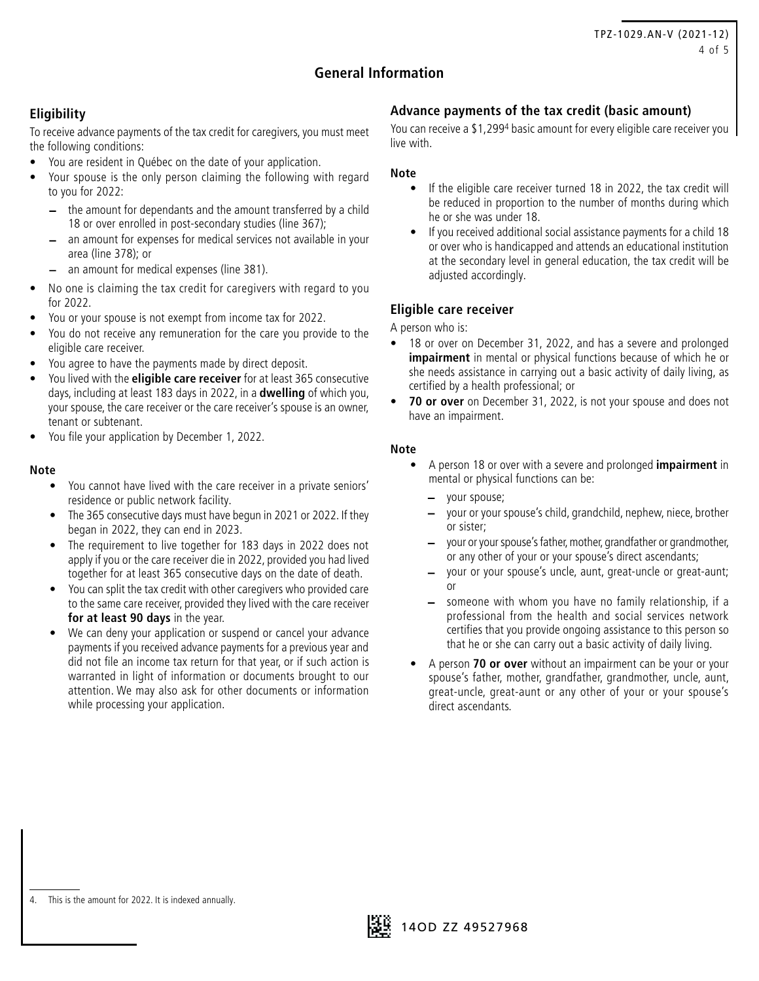# **General Information**

# **Eligibility**

To receive advance payments of the tax credit for caregivers, you must meet the following conditions:

- You are resident in Québec on the date of your application.
- Your spouse is the only person claiming the following with regard to you for 2022:
	- the amount for dependants and the amount transferred by a child 18 or over enrolled in post-secondary studies (line 367);
	- an amount for expenses for medical services not available in your area (line 378); or
	- an amount for medical expenses (line 381).
- No one is claiming the tax credit for caregivers with regard to you for 2022.
- You or your spouse is not exempt from income tax for 2022.
- You do not receive any remuneration for the care you provide to the eligible care receiver.
- You agree to have the payments made by direct deposit.
- You lived with the **eligible care receiver** for at least 365 consecutive days, including at least 183 days in 2022, in a **dwelling** of which you, your spouse, the care receiver or the care receiver's spouse is an owner, tenant or subtenant.
- You file your application by December 1, 2022.

#### **Note**

- You cannot have lived with the care receiver in a private seniors' residence or public network facility.
- The 365 consecutive days must have begun in 2021 or 2022. If they began in 2022, they can end in 2023.
- The requirement to live together for 183 days in 2022 does not apply if you or the care receiver die in 2022, provided you had lived together for at least 365 consecutive days on the date of death.
- You can split the tax credit with other caregivers who provided care to the same care receiver, provided they lived with the care receiver **for at least 90 days** in the year.
- <span id="page-3-0"></span>We can deny your application or suspend or cancel your advance payments if you received advance payments for a previous year and did not file an income tax return for that year, or if such action is warranted in light of information or documents brought to our attention. We may also ask for other documents or information while processing your application.

## **Advance payments of the tax credit (basic amount)**

You can receive a \$1,29[94](#page-3-0) basic amount for every eligible care receiver you live with.

#### **Note**

- If the eligible care receiver turned 18 in 2022, the tax credit will be reduced in proportion to the number of months during which he or she was under 18.
- If you received additional social assistance payments for a child 18 or over who is handicapped and attends an educational institution at the secondary level in general education, the tax credit will be adjusted accordingly.

## **Eligible care receiver**

A person who is:

- 18 or over on December 31, 2022, and has a severe and prolonged **impairment** in mental or physical functions because of which he or she needs assistance in carrying out a basic activity of daily living, as certified by a health professional; or
- 70 or over on December 31, 2022, is not your spouse and does not have an impairment.

#### **Note**

- A person 18 or over with a severe and prolonged **impairment** in mental or physical functions can be:
	- your spouse;
	- your or your spouse's child, grandchild, nephew, niece, brother or sister;
	- your or your spouse's father, mother, grandfather or grandmother, or any other of your or your spouse's direct ascendants;
	- your or your spouse's uncle, aunt, great-uncle or great-aunt; or
	- someone with whom you have no family relationship, if a professional from the health and social services network certifies that you provide ongoing assistance to this person so that he or she can carry out a basic activity of daily living.
- A person **70 or over** without an impairment can be your or your spouse's father, mother, grandfather, grandmother, uncle, aunt, great-uncle, great-aunt or any other of your or your spouse's direct ascendants.